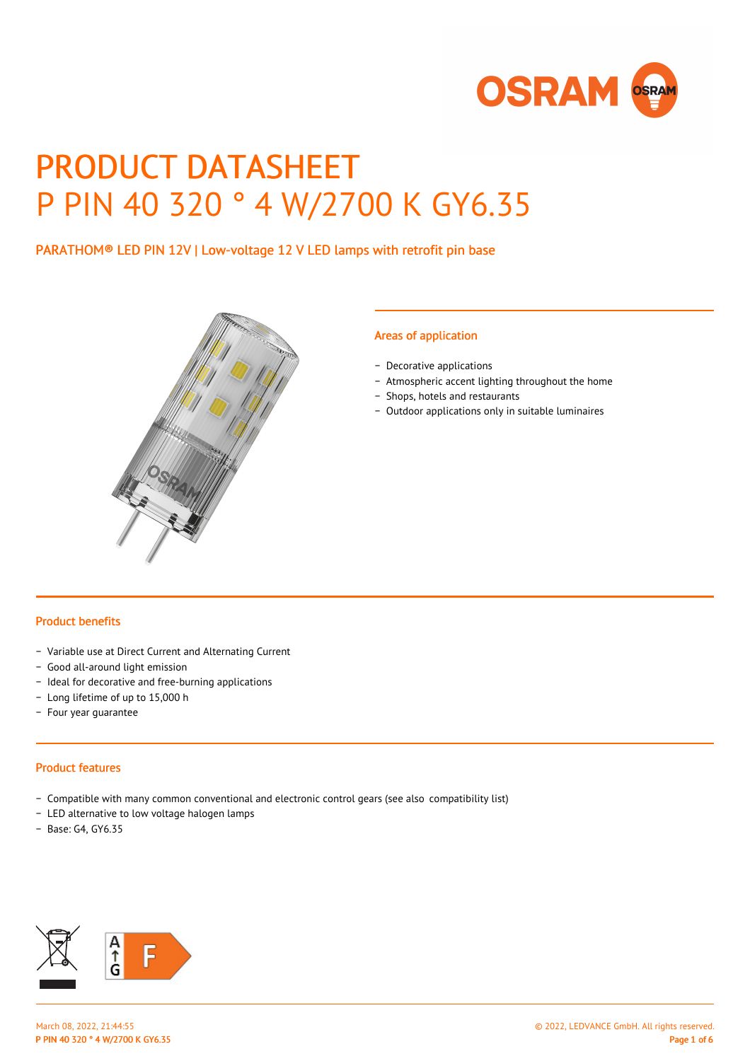

# PRODUCT DATASHEET P PIN 40 320 ° 4 W/2700 K GY6.35

PARATHOM® LED PIN 12V | Low-voltage 12 V LED lamps with retrofit pin base



## Areas of application

- − Decorative applications
- − Atmospheric accent lighting throughout the home
- − Shops, hotels and restaurants
- − Outdoor applications only in suitable luminaires

#### Product benefits

- − Variable use at Direct Current and Alternating Current
- − Good all-around light emission
- − Ideal for decorative and free-burning applications
- − Long lifetime of up to 15,000 h
- − Four year guarantee

#### Product features

- − Compatible with many common conventional and electronic control gears (see also compatibility list)
- − LED alternative to low voltage halogen lamps
- − Base: G4, GY6.35

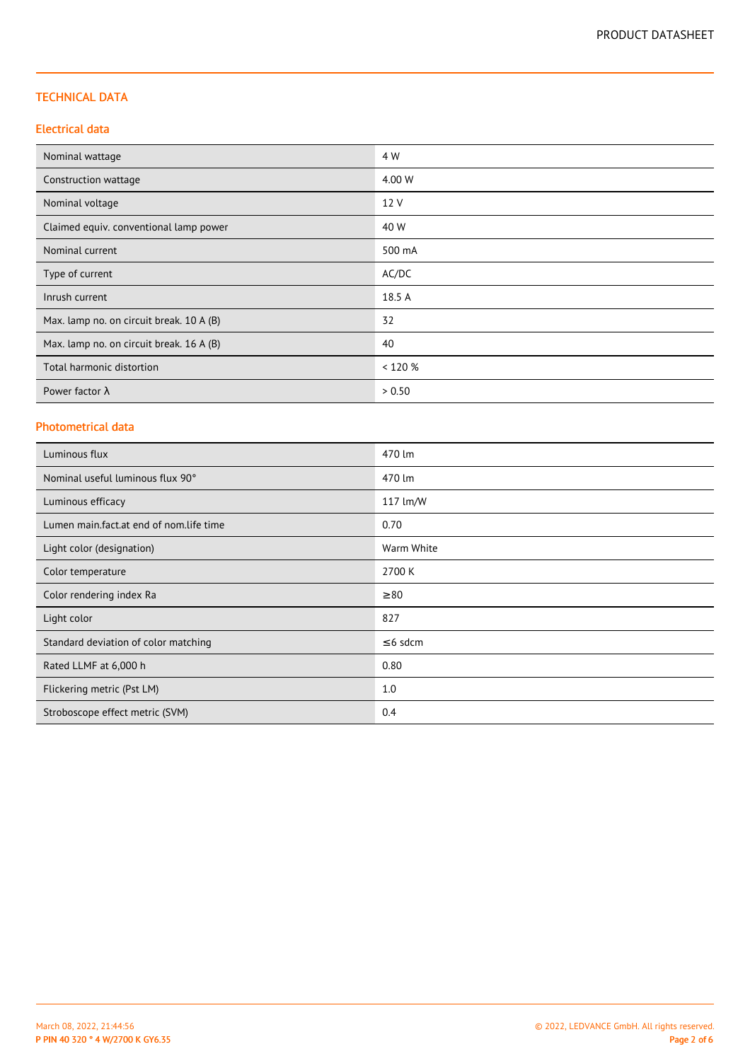# TECHNICAL DATA

# Electrical data

| Nominal wattage                          | 4 W     |
|------------------------------------------|---------|
| Construction wattage                     | 4.00 W  |
| Nominal voltage                          | 12 V    |
| Claimed equiv. conventional lamp power   | 40 W    |
| Nominal current                          | 500 mA  |
| Type of current                          | AC/DC   |
| Inrush current                           | 18.5 A  |
| Max. lamp no. on circuit break. 10 A (B) | 32      |
| Max. lamp no. on circuit break. 16 A (B) | 40      |
| Total harmonic distortion                | < 120 % |
| Power factor $\lambda$                   | > 0.50  |

### Photometrical data

| Luminous flux                           | 470 lm        |
|-----------------------------------------|---------------|
| Nominal useful luminous flux 90°        | 470 lm        |
| Luminous efficacy                       | 117 lm/W      |
| Lumen main.fact.at end of nom.life time | 0.70          |
| Light color (designation)               | Warm White    |
| Color temperature                       | 2700 K        |
| Color rendering index Ra                | $\geq 80$     |
| Light color                             | 827           |
| Standard deviation of color matching    | $\leq$ 6 sdcm |
| Rated LLMF at 6,000 h                   | 0.80          |
| Flickering metric (Pst LM)              | 1.0           |
| Stroboscope effect metric (SVM)         | 0.4           |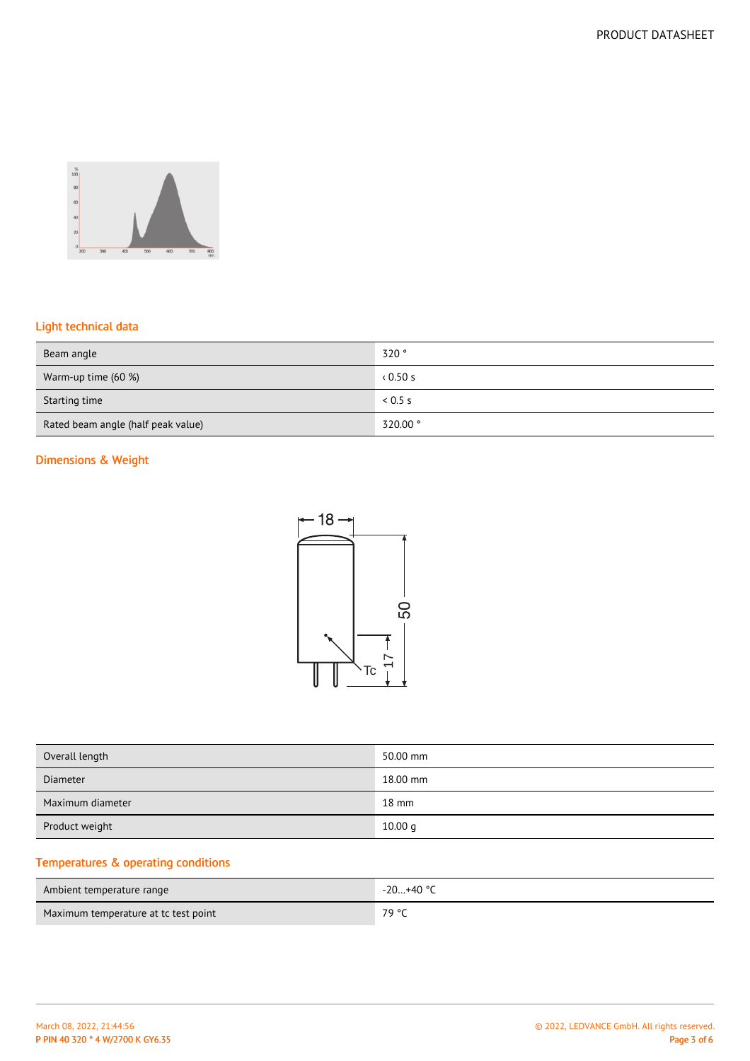

# Light technical data

| Beam angle                         | 320°     |
|------------------------------------|----------|
| Warm-up time (60 %)                | 0.50s    |
| Starting time                      | 0.5 s    |
| Rated beam angle (half peak value) | 320.00 ° |

# Dimensions & Weight



| Overall length   | 50.00 mm        |
|------------------|-----------------|
| Diameter         | 18.00 mm        |
| Maximum diameter | $18 \text{ mm}$ |
| Product weight   | 10.00 q         |

# Temperatures & operating conditions

| Ambient temperature range            | $-20+40$ °C |
|--------------------------------------|-------------|
| Maximum temperature at tc test point | 79 °C       |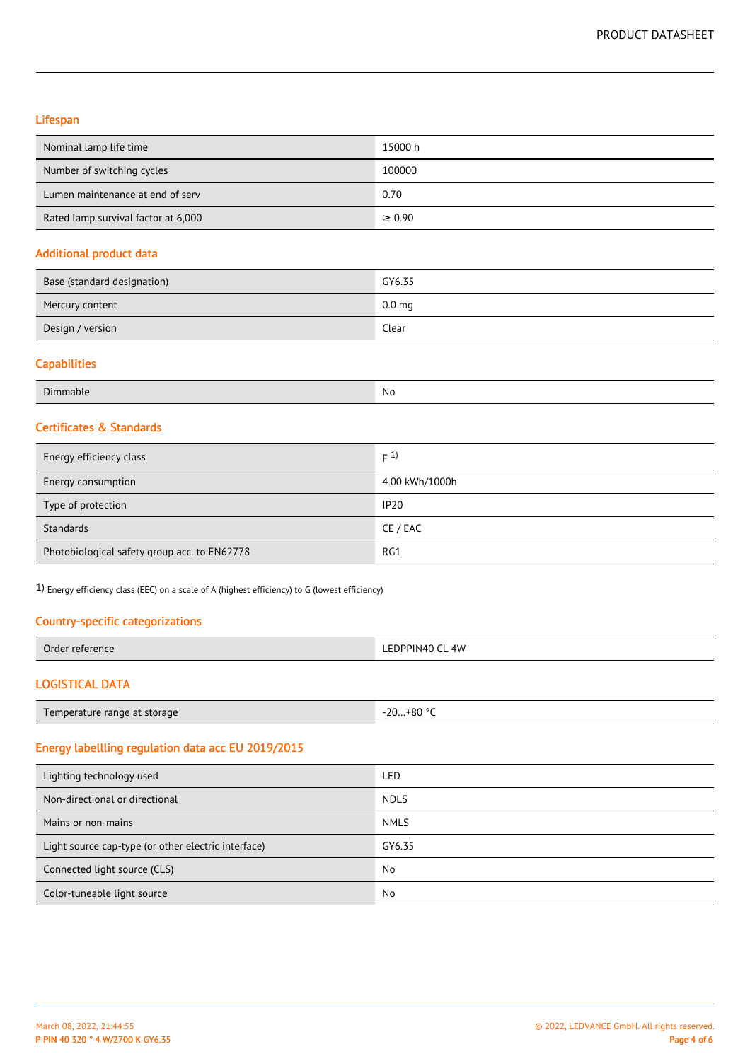# Lifespan

| Nominal lamp life time              | 15000 h     |
|-------------------------------------|-------------|
| Number of switching cycles          | 100000      |
| Lumen maintenance at end of serv    | 0.70        |
| Rated lamp survival factor at 6,000 | $\geq 0.90$ |

#### Additional product data

| Base (standard designation) | GY6.35            |
|-----------------------------|-------------------|
| Mercury content             | 0.0 <sub>mg</sub> |
| Design / version            | Clear             |

#### **Capabilities**

| $\sim$<br>Dimmable<br>$-$ | No<br>$\sim$ $\sim$ |
|---------------------------|---------------------|
|---------------------------|---------------------|

# Certificates & Standards

| Energy efficiency class                      | F(1)           |
|----------------------------------------------|----------------|
| Energy consumption                           | 4.00 kWh/1000h |
| Type of protection                           | <b>IP20</b>    |
| Standards                                    | CE / EAC       |
| Photobiological safety group acc. to EN62778 | RG1            |

1) Energy efficiency class (EEC) on a scale of A (highest efficiency) to G (lowest efficiency)

# Country-specific categorizations

| Orde<br>ΈΠ<br>ence<br>. | 4W<br>. DPINAD 1 |
|-------------------------|------------------|
|                         |                  |

# LOGISTICAL DATA

# Energy labellling regulation data acc EU 2019/2015

| Lighting technology used                            | LED         |
|-----------------------------------------------------|-------------|
| Non-directional or directional                      | <b>NDLS</b> |
| Mains or non-mains                                  | <b>NMLS</b> |
| Light source cap-type (or other electric interface) | GY6.35      |
| Connected light source (CLS)                        | No          |
| Color-tuneable light source                         | No          |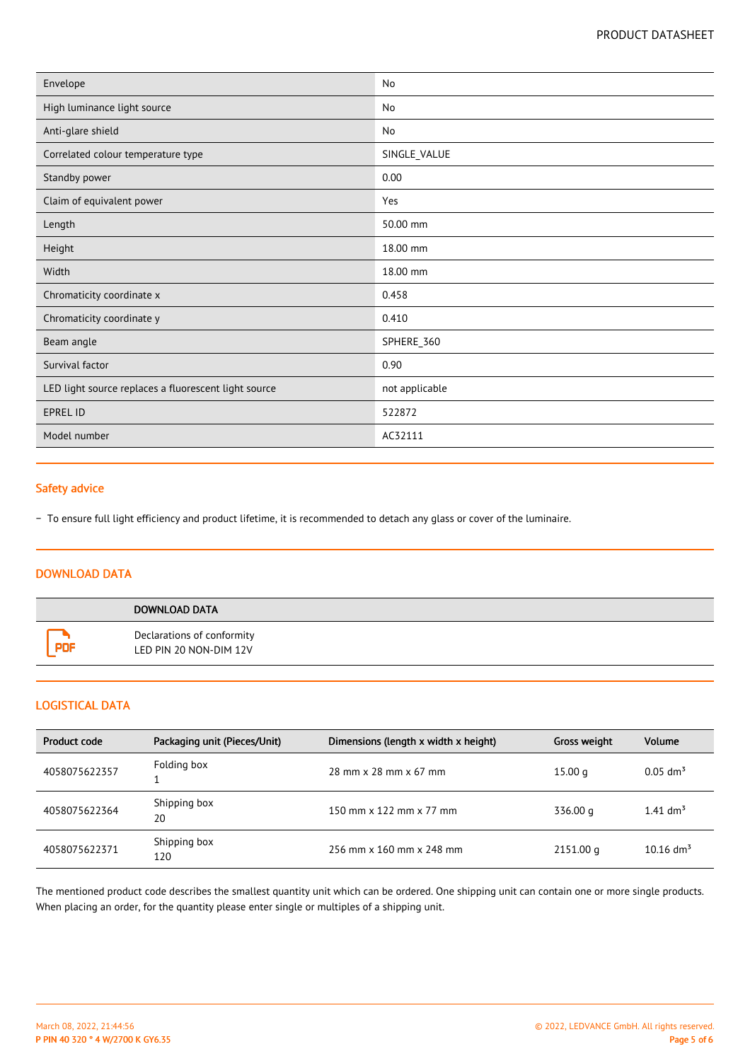| Envelope                                             | No             |
|------------------------------------------------------|----------------|
| High luminance light source                          | No             |
| Anti-glare shield                                    | No             |
| Correlated colour temperature type                   | SINGLE_VALUE   |
| Standby power                                        | 0.00           |
| Claim of equivalent power                            | Yes            |
| Length                                               | 50.00 mm       |
| Height                                               | 18.00 mm       |
| Width                                                | 18.00 mm       |
| Chromaticity coordinate x                            | 0.458          |
| Chromaticity coordinate y                            | 0.410          |
| Beam angle                                           | SPHERE_360     |
| Survival factor                                      | 0.90           |
| LED light source replaces a fluorescent light source | not applicable |
| <b>EPREL ID</b>                                      | 522872         |
| Model number                                         | AC32111        |

# Safety advice

− To ensure full light efficiency and product lifetime, it is recommended to detach any glass or cover of the luminaire.

# DOWNLOAD DATA

| DOWNLOAD DATA                                        |
|------------------------------------------------------|
| Declarations of conformity<br>LED PIN 20 NON-DIM 12V |

# LOGISTICAL DATA

| Product code  | Packaging unit (Pieces/Unit) | Dimensions (length x width x height) | Gross weight | <b>Volume</b>           |
|---------------|------------------------------|--------------------------------------|--------------|-------------------------|
| 4058075622357 | Folding box                  | 28 mm x 28 mm x 67 mm                | 15.00 g      | $0.05$ dm <sup>3</sup>  |
| 4058075622364 | Shipping box<br>20           | 150 mm x 122 mm x 77 mm              | 336.00 g     | 1.41 $\text{dm}^3$      |
| 4058075622371 | Shipping box<br>120          | 256 mm x 160 mm x 248 mm             | 2151.00 g    | $10.16$ dm <sup>3</sup> |

The mentioned product code describes the smallest quantity unit which can be ordered. One shipping unit can contain one or more single products. When placing an order, for the quantity please enter single or multiples of a shipping unit.